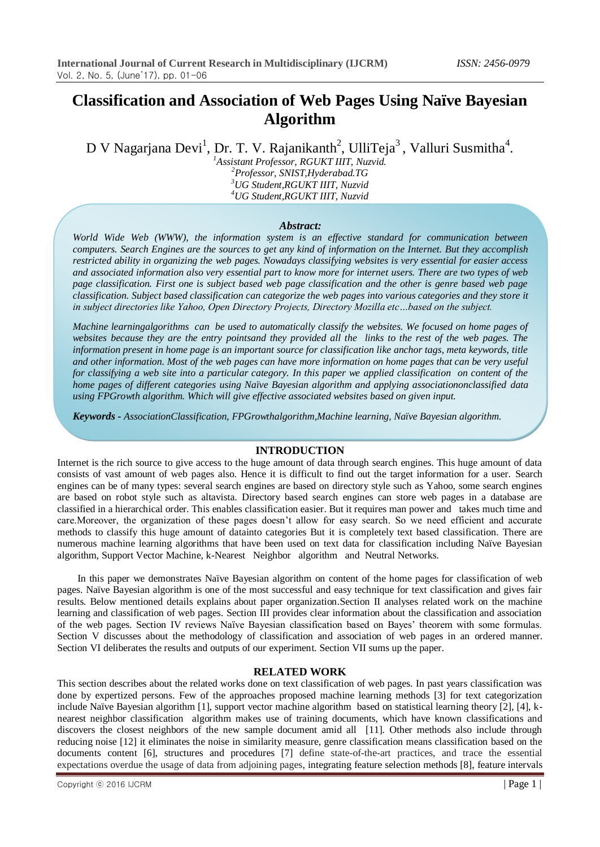# **Classification and Association of Web Pages Using Naïve Bayesian Algorithm**

D V Nagarjana Devi<sup>1</sup>, Dr. T. V. Rajanikanth<sup>2</sup>, UlliTeja<sup>3</sup>, Valluri Susmitha<sup>4</sup>.

*Assistant Professor, RGUKT IIIT, Nuzvid. Professor, SNIST,Hyderabad.TG UG Student,RGUKT IIIT, Nuzvid UG Student,RGUKT IIIT, Nuzvid*

#### *Abstract:*

*World Wide Web (WWW), the information system is an effective standard for communication between computers. Search Engines are the sources to get any kind of information on the Internet. But they accomplish restricted ability in organizing the web pages. Nowadays classifying websites is very essential for easier access and associated information also very essential part to know more for internet users. There are two types of web page classification. First one is subject based web page classification and the other is genre based web page classification. Subject based classification can categorize the web pages into various categories and they store it in subject directories like Yahoo, Open Directory Projects, Directory Mozilla etc…based on the subject.*

*Machine learningalgorithms can be used to automatically classify the websites. We focused on home pages of websites because they are the entry pointsand they provided all the links to the rest of the web pages. The information present in home page is an important source for classification like anchor tags, meta keywords, title and other information. Most of the web pages can have more information on home pages that can be very useful for classifying a web site into a particular category. In this paper we applied classification on content of the home pages of different categories using Naïve Bayesian algorithm and applying associationonclassified data using FPGrowth algorithm. Which will give effective associated websites based on given input.*

*Keywords - AssociationClassification, FPGrowthalgorithm,Machine learning, Naïve Bayesian algorithm.*

## **INTRODUCTION**

Internet is the rich source to give access to the huge amount of data through search engines. This huge amount of data consists of vast amount of web pages also. Hence it is difficult to find out the target information for a user. Search engines can be of many types: several search engines are based on directory style such as Yahoo, some search engines are based on robot style such as altavista. Directory based search engines can store web pages in a database are classified in a hierarchical order. This enables classification easier. But it requires man power and takes much time and care.Moreover, the organization of these pages doesn't allow for easy search. So we need efficient and accurate methods to classify this huge amount of datainto categories But it is completely text based classification. There are numerous machine learning algorithms that have been used on text data for classification including Naïve Bayesian algorithm, Support Vector Machine, k-Nearest Neighbor algorithm and Neutral Networks.

 In this paper we demonstrates Naïve Bayesian algorithm on content of the home pages for classification of web pages. Naïve Bayesian algorithm is one of the most successful and easy technique for text classification and gives fair results. Below mentioned details explains about paper organization.Section II analyses related work on the machine learning and classification of web pages. Section III provides clear information about the classification and association of the web pages. Section IV reviews Naïve Bayesian classification based on Bayes' theorem with some formulas. Section V discusses about the methodology of classification and association of web pages in an ordered manner. Section VI deliberates the results and outputs of our experiment. Section VII sums up the paper.

## **RELATED WORK**

This section describes about the related works done on text classification of web pages. In past years classification was done by expertized persons. Few of the approaches proposed machine learning methods [3] for text categorization include Naïve Bayesian algorithm [1], support vector machine algorithm based on statistical learning theory [2], [4], knearest neighbor classification algorithm makes use of training documents, which have known classifications and discovers the closest neighbors of the new sample document amid all [11]. Other methods also include through reducing noise [12] it eliminates the noise in similarity measure, genre classification means classification based on the documents content [6], structures and procedures [7] define state-of-the-art practices, and trace the essential expectations overdue the usage of data from adjoining pages, integrating feature selection methods [8], feature intervals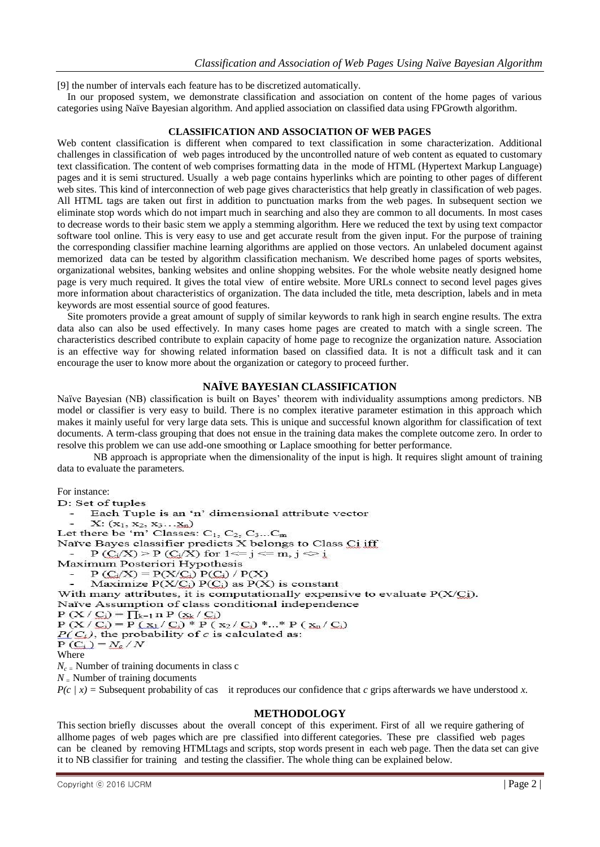[9] the number of intervals each feature has to be discretized automatically.

In our proposed system, we demonstrate classification and association on content of the home pages of various categories using Naïve Bayesian algorithm. And applied association on classified data using FPGrowth algorithm.

#### **CLASSIFICATION AND ASSOCIATION OF WEB PAGES**

Web content classification is different when compared to text classification in some characterization. Additional challenges in classification of web pages introduced by the uncontrolled nature of web content as equated to customary text classification. The content of web comprises formatting data in the mode of HTML (Hypertext Markup Language) pages and it is semi structured. Usually a web page contains hyperlinks which are pointing to other pages of different web sites. This kind of interconnection of web page gives characteristics that help greatly in classification of web pages. All HTML tags are taken out first in addition to punctuation marks from the web pages. In subsequent section we eliminate stop words which do not impart much in searching and also they are common to all documents. In most cases to decrease words to their basic stem we apply a stemming algorithm. Here we reduced the text by using text compactor software tool online. This is very easy to use and get accurate result from the given input. For the purpose of training the corresponding classifier machine learning algorithms are applied on those vectors. An unlabeled document against memorized data can be tested by algorithm classification mechanism. We described home pages of sports websites, organizational websites, banking websites and online shopping websites. For the whole website neatly designed home page is very much required. It gives the total view of entire website. More URLs connect to second level pages gives more information about characteristics of organization. The data included the title, meta description, labels and in meta keywords are most essential source of good features.

Site promoters provide a great amount of supply of similar keywords to rank high in search engine results. The extra data also can also be used effectively. In many cases home pages are created to match with a single screen. The characteristics described contribute to explain capacity of home page to recognize the organization nature. Association is an effective way for showing related information based on classified data. It is not a difficult task and it can encourage the user to know more about the organization or category to proceed further.

## **NAÏVE BAYESIAN CLASSIFICATION**

Naïve Bayesian (NB) classification is built on Bayes' theorem with individuality assumptions among predictors. NB model or classifier is very easy to build. There is no complex iterative parameter estimation in this approach which makes it mainly useful for very large data sets. This is unique and successful known algorithm for classification of text documents. A term-class grouping that does not ensue in the training data makes the complete outcome zero. In order to resolve this problem we can use add-one smoothing or Laplace smoothing for better performance.

NB approach is appropriate when the dimensionality of the input is high. It requires slight amount of training data to evaluate the parameters.

For instance:

D: Set of tuples Each Tuple is an 'n' dimensional attribute vector  $X: (x_1, x_2, x_3...x_n)$ Let there be 'm' Classes:  $C_1$ ,  $C_2$ ,  $C_3...C_m$ Naïve Bayes classifier predicts X belongs to Class Ci iff - P ( $C_i/X$ ) > P ( $C_i/X$ ) for 1 <= j <= m, j  $\circ$  i Maximum Posteriori Hypothesis  $P(C_i/X) = P(X/C_i) P(C_i) / P(X)$ Maximize  $P(X|C_i) P(C_i)$  as  $P(X)$  is constant With many attributes, it is computationally expensive to evaluate  $P(X|C_i)$ . Naïve Assumption of class conditional independence P (X / C<sub>i</sub>) =  $\prod_{k=1}^{n}$  n P (x<sub>k</sub> / C<sub>i</sub>)<br>P (X / C<sub>i</sub>) = P (x<sub>1</sub> / C<sub>i</sub>) \* P (x<sub>2</sub> / C<sub>i</sub>) \* ...\* P (x<sub>n</sub> / C<sub>i</sub>)  $P(C_i)$ , the probability of c is calculated as:  $P(C_i) = N_c / N$ <br>Where *N<sub>c =</sub>* Number of training documents in class c

*N <sup>=</sup>* Number of training documents

*P(c | x) =* Subsequent probability of cas it reproduces our confidence that *c* grips afterwards we have understood *x.*

## **METHODOLOGY**

This section briefly discusses about the overall concept of this experiment. First of all we require gathering of allhome pages of web pages which are pre classified into different categories. These pre classified web pages can be cleaned by removing HTMLtags and scripts, stop words present in each web page. Then the data set can give it to NB classifier for training and testing the classifier. The whole thing can be explained below.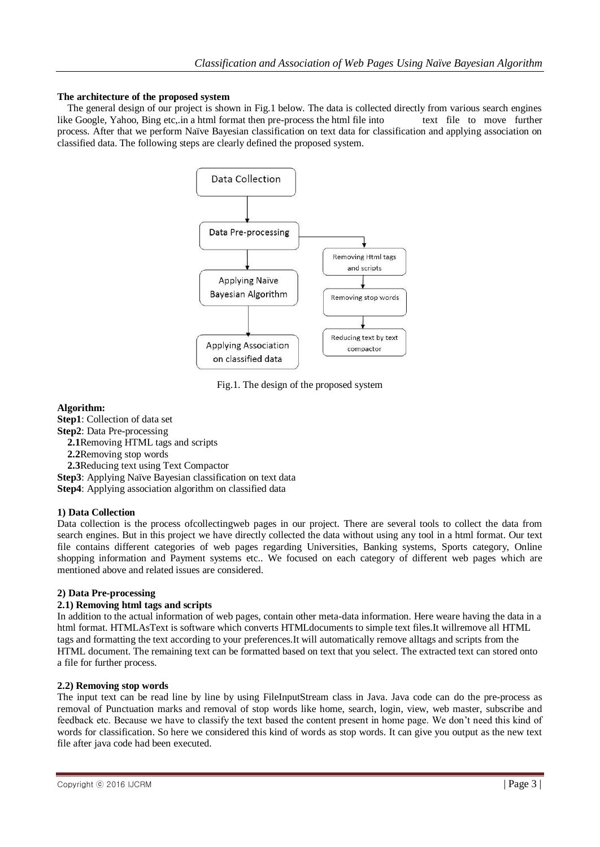#### **The architecture of the proposed system**

The general design of our project is shown in Fig.1 below. The data is collected directly from various search engines like Google, Yahoo, Bing etc,.in a html format then pre-process the html file into text file to move further process. After that we perform Naïve Bayesian classification on text data for classification and applying association on classified data. The following steps are clearly defined the proposed system.



Fig.1. The design of the proposed system

## **Algorithm:**

**Step1**: Collection of data set **Step2**: Data Pre-processing **2.1**Removing HTML tags and scripts **2.2**Removing stop words **2.3**Reducing text using Text Compactor **Step3**: Applying Naïve Bayesian classification on text data

**Step4**: Applying association algorithm on classified data

## **1) Data Collection**

Data collection is the process ofcollectingweb pages in our project. There are several tools to collect the data from search engines. But in this project we have directly collected the data without using any tool in a html format. Our text file contains different categories of web pages regarding Universities, Banking systems, Sports category, Online shopping information and Payment systems etc.. We focused on each category of different web pages which are mentioned above and related issues are considered.

## **2) Data Pre-processing**

## **2.1) Removing html tags and scripts**

In addition to the actual information of web pages, contain other meta-data information. Here weare having the data in a html format. HTMLAsText is software which converts HTMLdocuments to simple text files.It willremove all HTML tags and formatting the text according to your preferences.It will automatically remove alltags and scripts from the HTML document. The remaining text can be formatted based on text that you select. The extracted text can stored onto a file for further process.

#### **2.2) Removing stop words**

The input text can be read line by line by using FileInputStream class in Java. Java code can do the pre-process as removal of Punctuation marks and removal of stop words like home, search, login, view, web master, subscribe and feedback etc. Because we have to classify the text based the content present in home page. We don't need this kind of words for classification. So here we considered this kind of words as stop words. It can give you output as the new text file after java code had been executed.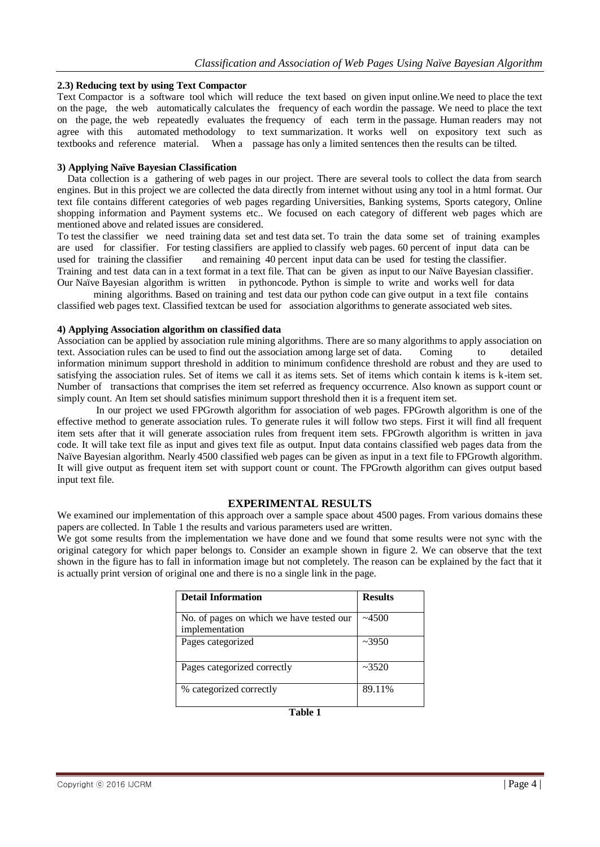#### **2.3) Reducing text by using Text Compactor**

Text Compactor is a software tool which will reduce the text based on given input online.We need to place the text on the page, the web automatically calculates the frequency of each wordin the passage. We need to place the text on the page, the web repeatedly evaluates the frequency of each term in the passage. Human readers may not agree with this automated methodology to text summarization. It works well on expository text such as textbooks and reference material. When a passage has only a limited sentences then the results can be tilted.

#### **3) Applying Naïve Bayesian Classification**

Data collection is a gathering of web pages in our project. There are several tools to collect the data from search engines. But in this project we are collected the data directly from internet without using any tool in a html format. Our text file contains different categories of web pages regarding Universities, Banking systems, Sports category, Online shopping information and Payment systems etc.. We focused on each category of different web pages which are mentioned above and related issues are considered.

To test the classifier we need training data set and test data set. To train the data some set of training examples are used for classifier. For testing classifiers are applied to classify web pages. 60 percent of input data can be used for training the classifier and remaining 40 percent input data can be used for testing the classifier. Training and test data can in a text format in a text file. That can be given as input to our Naïve Bayesian classifier. Our Naïve Bayesian algorithm is written in pythoncode. Python is simple to write and works well for data

mining algorithms. Based on training and test data our python code can give output in a text file contains classified web pages text. Classified textcan be used for association algorithms to generate associated web sites.

#### **4) Applying Association algorithm on classified data**

Association can be applied by association rule mining algorithms. There are so many algorithms to apply association on text. Association rules can be used to find out the association among large set of data. Coming to detailed information minimum support threshold in addition to minimum confidence threshold are robust and they are used to satisfying the association rules. Set of items we call it as items sets. Set of items which contain k items is k-item set. Number of transactions that comprises the item set referred as frequency occurrence. Also known as support count or simply count. An Item set should satisfies minimum support threshold then it is a frequent item set.

In our project we used FPGrowth algorithm for association of web pages. FPGrowth algorithm is one of the effective method to generate association rules. To generate rules it will follow two steps. First it will find all frequent item sets after that it will generate association rules from frequent item sets. FPGrowth algorithm is written in java code. It will take text file as input and gives text file as output. Input data contains classified web pages data from the Naïve Bayesian algorithm. Nearly 4500 classified web pages can be given as input in a text file to FPGrowth algorithm. It will give output as frequent item set with support count or count. The FPGrowth algorithm can gives output based input text file.

#### **EXPERIMENTAL RESULTS**

We examined our implementation of this approach over a sample space about 4500 pages. From various domains these papers are collected. In Table 1 the results and various parameters used are written.

We got some results from the implementation we have done and we found that some results were not sync with the original category for which paper belongs to. Consider an example shown in figure 2. We can observe that the text shown in the figure has to fall in information image but not completely. The reason can be explained by the fact that it is actually print version of original one and there is no a single link in the page.

| <b>Detail Information</b>                                  | <b>Results</b> |
|------------------------------------------------------------|----------------|
| No. of pages on which we have tested our<br>implementation | ~14500         |
| Pages categorized                                          | $\sim 3950$    |
| Pages categorized correctly                                | ~23520         |
| % categorized correctly                                    | 89.11%         |

**Table 1**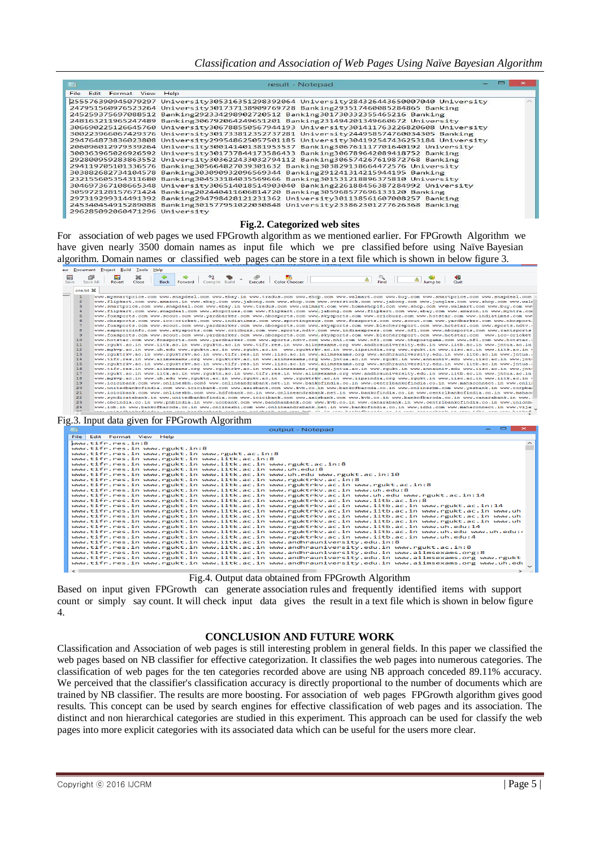*Classification and Association of Web Pages Using Naïve Bayesian Algorithm*

|                                                                                                            |                                                                                                                                                                                                                                                                                                                                                                                                                                                                                                                                                                                                                                                                                                                                                                                                                                                                                                                                                                                                                                                                                                                                                                                                                                                                                                                                                                                                                                                                                                                                                                                                                                                                                                                                                                                                                                                                                                                                                                                                                                                                                                                                                                                                                                                                                                                                                                                                                                                                                                                                                                                                                                                                                                                                                                                                                                                                                                                                                                                                             | result - Notepad                    |                                                |  |  |
|------------------------------------------------------------------------------------------------------------|-------------------------------------------------------------------------------------------------------------------------------------------------------------------------------------------------------------------------------------------------------------------------------------------------------------------------------------------------------------------------------------------------------------------------------------------------------------------------------------------------------------------------------------------------------------------------------------------------------------------------------------------------------------------------------------------------------------------------------------------------------------------------------------------------------------------------------------------------------------------------------------------------------------------------------------------------------------------------------------------------------------------------------------------------------------------------------------------------------------------------------------------------------------------------------------------------------------------------------------------------------------------------------------------------------------------------------------------------------------------------------------------------------------------------------------------------------------------------------------------------------------------------------------------------------------------------------------------------------------------------------------------------------------------------------------------------------------------------------------------------------------------------------------------------------------------------------------------------------------------------------------------------------------------------------------------------------------------------------------------------------------------------------------------------------------------------------------------------------------------------------------------------------------------------------------------------------------------------------------------------------------------------------------------------------------------------------------------------------------------------------------------------------------------------------------------------------------------------------------------------------------------------------------------------------------------------------------------------------------------------------------------------------------------------------------------------------------------------------------------------------------------------------------------------------------------------------------------------------------------------------------------------------------------------------------------------------------------------------------------------------------|-------------------------------------|------------------------------------------------|--|--|
| Edit Format View<br>File                                                                                   | Help                                                                                                                                                                                                                                                                                                                                                                                                                                                                                                                                                                                                                                                                                                                                                                                                                                                                                                                                                                                                                                                                                                                                                                                                                                                                                                                                                                                                                                                                                                                                                                                                                                                                                                                                                                                                                                                                                                                                                                                                                                                                                                                                                                                                                                                                                                                                                                                                                                                                                                                                                                                                                                                                                                                                                                                                                                                                                                                                                                                                        |                                     |                                                |  |  |
| 296285092060471296 University                                                                              | 255576390945079297 University305316351298392064 University284326443650007040 University<br>247951560976523264 University301737138909769728 Banking293517460085284865 Banking<br>245259375697088512 Banking292334298902720512 Banking301730332355465216 Banking<br>248163211965247489 Banking306792064249651201 Banking231494201349660672 University<br>306690225126645760 University306788550567944193 University301411763226820608 University<br>300223966067429376 University301733812352737281 University244958574760034305 Banking<br>294764873836023808 University299548625057501185 University304192547436253184 University<br>206096012979339264 University300141401381953537 Banking306761117701640192 University<br>300363965026926592 University301737844173586433 Banking306789642089418752 Banking<br>292800959283863552 University303622433032794112 Banking306574267619872768 Banking<br>294119705101336576 Banking305664827039301632 Banking303829138664472576 University<br>303882682734104578 Banking303090932096569344 Banking291241314215944195 Banking<br>232155605354311680 Banking304533184035569666 Banking301531218896375810 University<br>304697367108665348 University306514018514903040 Banking226188456387284992 University<br>305972128157671424 Banking202440411606814720 Banking305968577696133120 Banking<br>297319299314491392 Banking294798428121231362 University301138561607008257 Banking<br>245340454915289088 Banking301577951022030848 University233862301277626368 Banking                                                                                                                                                                                                                                                                                                                                                                                                                                                                                                                                                                                                                                                                                                                                                                                                                                                                                                                                                                                                                                                                                                                                                                                                                                                                                                                                                                                                                                                                                         |                                     |                                                |  |  |
|                                                                                                            |                                                                                                                                                                                                                                                                                                                                                                                                                                                                                                                                                                                                                                                                                                                                                                                                                                                                                                                                                                                                                                                                                                                                                                                                                                                                                                                                                                                                                                                                                                                                                                                                                                                                                                                                                                                                                                                                                                                                                                                                                                                                                                                                                                                                                                                                                                                                                                                                                                                                                                                                                                                                                                                                                                                                                                                                                                                                                                                                                                                                             | Fig.2. Categorized web sites        |                                                |  |  |
| For association of web pages we used FPGrowth algorithm as we mentioned earlier. For FPGrowth Algorithm we |                                                                                                                                                                                                                                                                                                                                                                                                                                                                                                                                                                                                                                                                                                                                                                                                                                                                                                                                                                                                                                                                                                                                                                                                                                                                                                                                                                                                                                                                                                                                                                                                                                                                                                                                                                                                                                                                                                                                                                                                                                                                                                                                                                                                                                                                                                                                                                                                                                                                                                                                                                                                                                                                                                                                                                                                                                                                                                                                                                                                             |                                     |                                                |  |  |
|                                                                                                            | have given nearly 3500 domain names as input file which we pre classified before using Naïve Bayesian                                                                                                                                                                                                                                                                                                                                                                                                                                                                                                                                                                                                                                                                                                                                                                                                                                                                                                                                                                                                                                                                                                                                                                                                                                                                                                                                                                                                                                                                                                                                                                                                                                                                                                                                                                                                                                                                                                                                                                                                                                                                                                                                                                                                                                                                                                                                                                                                                                                                                                                                                                                                                                                                                                                                                                                                                                                                                                       |                                     |                                                |  |  |
|                                                                                                            |                                                                                                                                                                                                                                                                                                                                                                                                                                                                                                                                                                                                                                                                                                                                                                                                                                                                                                                                                                                                                                                                                                                                                                                                                                                                                                                                                                                                                                                                                                                                                                                                                                                                                                                                                                                                                                                                                                                                                                                                                                                                                                                                                                                                                                                                                                                                                                                                                                                                                                                                                                                                                                                                                                                                                                                                                                                                                                                                                                                                             |                                     |                                                |  |  |
|                                                                                                            | algorithm. Domain names or classified web pages can be store in a text file which is shown in below figure 3.                                                                                                                                                                                                                                                                                                                                                                                                                                                                                                                                                                                                                                                                                                                                                                                                                                                                                                                                                                                                                                                                                                                                                                                                                                                                                                                                                                                                                                                                                                                                                                                                                                                                                                                                                                                                                                                                                                                                                                                                                                                                                                                                                                                                                                                                                                                                                                                                                                                                                                                                                                                                                                                                                                                                                                                                                                                                                               |                                     |                                                |  |  |
| ew Document Project Build Tools Help<br>※                                                                  |                                                                                                                                                                                                                                                                                                                                                                                                                                                                                                                                                                                                                                                                                                                                                                                                                                                                                                                                                                                                                                                                                                                                                                                                                                                                                                                                                                                                                                                                                                                                                                                                                                                                                                                                                                                                                                                                                                                                                                                                                                                                                                                                                                                                                                                                                                                                                                                                                                                                                                                                                                                                                                                                                                                                                                                                                                                                                                                                                                                                             |                                     |                                                |  |  |
| ିଲ<br>Revert<br>Save All<br>Close                                                                          | ි<br>Execute<br>Forward Compile Build<br><b>Back</b>                                                                                                                                                                                                                                                                                                                                                                                                                                                                                                                                                                                                                                                                                                                                                                                                                                                                                                                                                                                                                                                                                                                                                                                                                                                                                                                                                                                                                                                                                                                                                                                                                                                                                                                                                                                                                                                                                                                                                                                                                                                                                                                                                                                                                                                                                                                                                                                                                                                                                                                                                                                                                                                                                                                                                                                                                                                                                                                                                        | <b>Designation</b><br>Color Chooser | $\overline{a}$ Find<br>$\sum_{\text{Jump to}}$ |  |  |
| one.txt %                                                                                                  | www.mysmartprice.com www.snapdeal.com www.ebay.in www.tradus.com www.shop.com www.walmart.com www.buy.com www.smartprice.com www.snapdeal.com                                                                                                                                                                                                                                                                                                                                                                                                                                                                                                                                                                                                                                                                                                                                                                                                                                                                                                                                                                                                                                                                                                                                                                                                                                                                                                                                                                                                                                                                                                                                                                                                                                                                                                                                                                                                                                                                                                                                                                                                                                                                                                                                                                                                                                                                                                                                                                                                                                                                                                                                                                                                                                                                                                                                                                                                                                                               |                                     |                                                |  |  |
| 10<br>11<br>12<br>13<br>14<br>15<br>16<br>17<br>18<br>19<br>20<br>21<br>22<br>23                           | www.foxsports.com www.scout.com www.yardbarker.com www.nbcsports.com www.skysports.com www.cricbuzz.com www.hotstar.com www.indiatimes.com ww<br>www.cbssports.com www.icc-cricket.com www.indiatimes.com www.sportingnews.com www.foxsports.com www.scout.com www.yardbarker.com www.nbcsport<br>www.foxsports.com www.scout.com www.yardbarker.com www.nbcsports.com www.skysports.com www.blecherreport.com www.hotstar.com www.sports.ndtv.<br>www.espncricinfo.com www.skvsports.com www.cricbuzz.com www.sports.ndtv.com www.indiaexpress.com www.nfl.com www.nbcsports.com www.rantsports<br>www.foxsports.com www.scout.com www.yardbarker.com www.nbcsports.com www.skysports.com www.blecherreport.com www.hotstar.com www.icc-cricket<br>www.hotstar.com www.foxsports.com www.yardbarker.com www.sports.ndtv.com www.nhl.com www.nfl.com www.thepostgame.com www.nfl.com www.hotstar.<br>www.rgukt.ac.in www.iitk.ac.in www.rguktn.ac.in www.tifr.res.in www.aiimsexams.org www.andhrauniversity.edu.in www.iitb.ac.in www.jntua.ac.in<br>www.mgkvp.ac.in www.uh.edu www.rguktn.ac.in www.rgukt.ac.in www.rguktrky.ac.in www.iipsindia.org www.rgukt.in www.iisc.ac.in www.iitk.ac.in<br>www.rguktrkv.ac.in www.rguktrkv.ac.in www.tifr.res.in www.iisc.ac.in www.aiimsexams.org www.andhrauniversity.edu.in www.iitb.ac.in www.jntua.<br>www.tifr.res.in www.aiimsexams.org www.rguktrkv.ac.in www.aiimsexams.org www.jntua.ac.in www.rgukt.in www.annauniv.edu www.iisc.ac.in www.jnt<br>www.rguktrkv.ac.in www.rguktrkv.ac.in www.tifr.res.in www.iisc.ac.in www.aiimsexams.org www.andhrauniversity.edu.in www.iitb.ac.in www.jntua.<br>www.tifr.res.in www.aiimsexams.org www.rquktrkv.ac.in www.aiimsexams.org www.jntua.ac.in www.rqukt.in www.annauniv.edu www.iisc.ac.in www.jnt<br>www.rgukt.ac.in www.iitk.ac.in www.rguktn.ac.in www.tifr.res.in www.aiimsexams.org www.andhrauniversity.edu.in www.iitb.ac.in www.jntua.ac.in<br>www.mgkvp.ac.in www.uh.edu www.rguktn.ac.in www.rgukt.ac.in www.rguktrkv.ac.in www.iipsindia.org www.rgukt.in www.iisc.ac.in www.iitk.ac.in<br>www.icicibank.com www.onlinesbh.com5 www.onlineandrabank.net.in www.bankofindia.co.in www.centrlbankofindia.co.in www.mahaconnect.in www.onli<br>www.unitedbankofindia.com www.icicibank.com www.axisbank.com www.kvb.co.in www.bankofbaroda.co.in www.onlinesbm.com www.yesbank.in www.corpba<br>www.icicibank.com www.onlinesbh.com www.hdfcbank.co.in www.onlineandrabank.net.in www.bankofindia.co.in www.centrlbankofindia.co.in www.mahac<br>www.svndicatebank.in www.unitedbankofindia.com www.icicibank.com www.axisbank.com www.kvb.co.in www.bankofbaroda.co.in www.canarabank.in www.<br>www.obcindia.co.in www.pnbindia.in www.ucobank.com www.bandhanbank.com www.kvb.co.in www.canarabank.in www.centrlbankofindia.co.in www.unionb<br>www.iob.in www.bankofbaroda.co.in www.onlinesbi.com www.onlineandrabank.net.in www.bankofindia.co.in www.idbi.com www.mahaconnect.in www.vija |                                     |                                                |  |  |
| Fig.3. Input data given for FPGrowth Algorithm                                                             |                                                                                                                                                                                                                                                                                                                                                                                                                                                                                                                                                                                                                                                                                                                                                                                                                                                                                                                                                                                                                                                                                                                                                                                                                                                                                                                                                                                                                                                                                                                                                                                                                                                                                                                                                                                                                                                                                                                                                                                                                                                                                                                                                                                                                                                                                                                                                                                                                                                                                                                                                                                                                                                                                                                                                                                                                                                                                                                                                                                                             |                                     |                                                |  |  |
|                                                                                                            |                                                                                                                                                                                                                                                                                                                                                                                                                                                                                                                                                                                                                                                                                                                                                                                                                                                                                                                                                                                                                                                                                                                                                                                                                                                                                                                                                                                                                                                                                                                                                                                                                                                                                                                                                                                                                                                                                                                                                                                                                                                                                                                                                                                                                                                                                                                                                                                                                                                                                                                                                                                                                                                                                                                                                                                                                                                                                                                                                                                                             | output - Notepad                    |                                                |  |  |
| File Edit Format View Help<br>www.tifr.res.in:8<br>www.tifr.res.in www.rgukt.in:8                          | www.tifr.res.in www.rgukt.in www.rgukt.ac.in:8<br>www.tifr.res.in www.rgukt.in www.iitk.ac.in:8<br>www.tifr.res.in www.rgukt.in www.iitk.ac.in www.rgukt.ac.in:8<br>www.tifr.res.in www.rgukt.in www.iitk.ac.in www.uh.edu:8<br>www.tifr.res.in www.rgukt.in www.iitk.ac.in www.uh.edu www.rgukt.ac.in:10<br>www.tifr.res.in www.rgukt.in www.iitk.ac.in www.rguktrkv.ac.in:8<br>www.tifr.res.in www.rgukt.in www.iitk.ac.in www.rguktrkv.ac.in www.rgukt.ac.in:8<br>www.tifr.res.in www.rgukt.in www.iitk.ac.in www.rguktrkv.ac.in www.uh.edu:8<br>www.tifr.res.in www.rgukt.in www.iitk.ac.in www.rguktrkv.ac.in www.uh.edu www.rgukt.ac.in:14<br>www.tifr.res.in www.rgukt.in www.iitk.ac.in www.rguktrkv.ac.in www.iitb.ac.in:8<br>www.tifr.res.in www.rgukt.in www.iitk.ac.in www.rguktrkv.ac.in www.iitb.ac.in www.rgukt.ac.in:14<br>www.tifr.res.in www.rgukt.in www.iitk.ac.in www.rguktrkv.ac.in www.iitb.ac.in www.rgukt.ac.in www.uh<br>www.tifr.res.in www.rgukt.in www.iitk.ac.in www.rguktrkv.ac.in www.iitb.ac.in www.rgukt.ac.in www.uh<br>www.tifr.res.in www.rgukt.in www.iitk.ac.in www.rguktrkv.ac.in www.iitb.ac.in www.rgukt.ac.in www.uh<br>www.tifr.res.in www.rgukt.in www.iitk.ac.in www.rguktrkv.ac.in www.iitb.ac.in www.uh.edu:14<br>www.tifr.res.in www.rgukt.in www.iitk.ac.in www.rguktrkv.ac.in www.iitb.ac.in www.uh.edu www.uh.edu<br>www.tifr.res.in www.rgukt.in www.iitk.ac.in www.rguktrkv.ac.in www.iitb.ac.in www.uh.edu:4<br>www.tifr.res.in www.rgukt.in www.iitk.ac.in www.andhrauniversity.edu.in:8<br>www.tifr.res.in www.rgukt.in www.iitk.ac.in www.andhrauniversity.edu.in www.rgukt.ac.in:8<br>www.tifr.res.in www.rgukt.in www.iitk.ac.in www.andhrauniversity.edu.in www.aiimsexams.org:8<br>www.tifr.res.in www.rgukt.in www.iitk.ac.in www.andhrauniversity.edu.in www.aiimsexams.org www.rgukt                                                                                                                                                                                                                                                                                                                                                                                                                                                                                                                                                                                                                                                                                                                                                                                                                                                                                                                                                                                                                                                                                                                                                       |                                     |                                                |  |  |
|                                                                                                            | www.tifr.res.in www.rgukt.in www.iitk.ac.in www.andhrauniversity.edu.in www.aiimsexams.org www.uh.edu                                                                                                                                                                                                                                                                                                                                                                                                                                                                                                                                                                                                                                                                                                                                                                                                                                                                                                                                                                                                                                                                                                                                                                                                                                                                                                                                                                                                                                                                                                                                                                                                                                                                                                                                                                                                                                                                                                                                                                                                                                                                                                                                                                                                                                                                                                                                                                                                                                                                                                                                                                                                                                                                                                                                                                                                                                                                                                       |                                     |                                                |  |  |

#### Fig.4. Output data obtained from FPGrowth Algorithm

Based on input given FPGrowth can generate association rules and frequently identified items with support count or simply say count. It will check input data gives the result in a text file which is shown in below figure 4.

#### **CONCLUSION AND FUTURE WORK**

Classification and Association of web pages is still interesting problem in general fields. In this paper we classified the web pages based on NB classifier for effective categorization. It classifies the web pages into numerous categories. The classification of web pages for the ten categories recorded above are using NB approach conceded 89.11% accuracy. We perceived that the classifier's classification accuracy is directly proportional to the number of documents which are trained by NB classifier. The results are more boosting. For association of web pages FPGrowth algorithm gives good results. This concept can be used by search engines for effective classification of web pages and its association. The distinct and non hierarchical categories are studied in this experiment. This approach can be used for classify the web pages into more explicit categories with its associated data which can be useful for the users more clear.